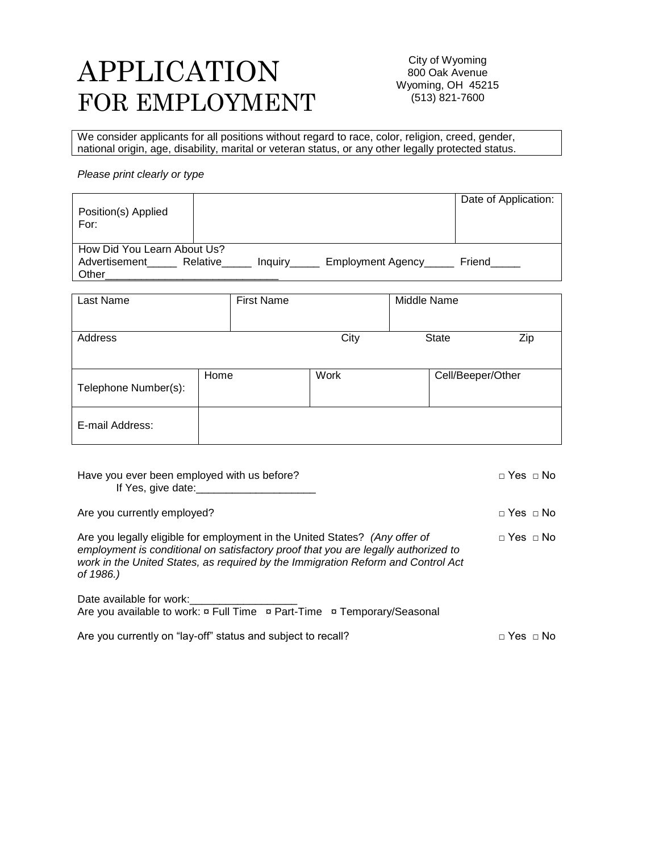# APPLICATION FOR EMPLOYMENT

City of Wyoming 800 Oak Avenue Wyoming, OH 45215 (513) 821-7600

We consider applicants for all positions without regard to race, color, religion, creed, gender, national origin, age, disability, marital or veteran status, or any other legally protected status.

#### *Please print clearly or type*

| Position(s) Applied<br>For:                           |                     |                    | Date of Application: |
|-------------------------------------------------------|---------------------|--------------------|----------------------|
| How Did You Learn About Us?<br>Advertisement<br>Other | Relative<br>Inquiry | Employment Agency_ | Friend               |

| Last Name            | <b>First Name</b> |      | Middle Name       |     |
|----------------------|-------------------|------|-------------------|-----|
| Address              |                   | City | <b>State</b>      | Zip |
| Telephone Number(s): | Home              | Work | Cell/Beeper/Other |     |
| E-mail Address:      |                   |      |                   |     |

| Have you ever been employed with us before?<br>If Yes, give date:                                                                                                                                                                                                  | $\sqcap$ Yes $\sqcap$ No |
|--------------------------------------------------------------------------------------------------------------------------------------------------------------------------------------------------------------------------------------------------------------------|--------------------------|
| Are you currently employed?                                                                                                                                                                                                                                        | $\sqcap$ Yes $\sqcap$ No |
| Are you legally eligible for employment in the United States? (Any offer of<br>employment is conditional on satisfactory proof that you are legally authorized to<br>work in the United States, as required by the Immigration Reform and Control Act<br>of 1986.) | $\Box$ Yes $\Box$ No     |
| Date available for work:<br>Are you available to work: $\overline{x}$ Full Time $\overline{x}$ Part-Time $\overline{x}$ Temporary/Seasonal                                                                                                                         |                          |
| Are you currently on "lay-off" status and subject to recall?                                                                                                                                                                                                       |                          |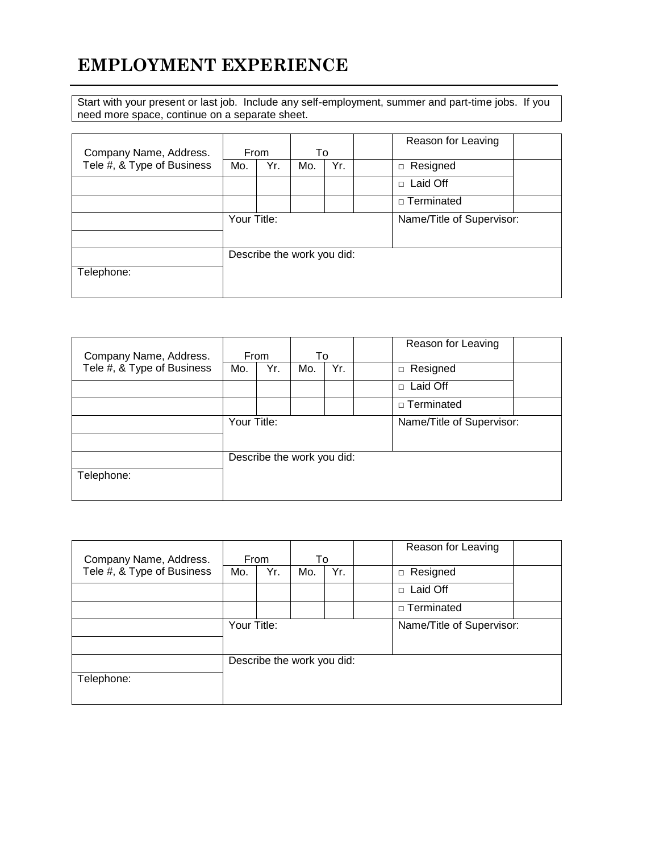## **EMPLOYMENT EXPERIENCE**

Start with your present or last job. Include any self-employment, summer and part-time jobs. If you need more space, continue on a separate sheet.

| Company Name, Address.     | From        |     | To                         |     | Reason for Leaving        |  |
|----------------------------|-------------|-----|----------------------------|-----|---------------------------|--|
| Tele #, & Type of Business | Mo.         | Yr. | Mo.                        | Yr. | $\Box$ Resigned           |  |
|                            |             |     |                            |     | Laid Off<br>$\Box$        |  |
|                            |             |     |                            |     | □ Terminated              |  |
|                            | Your Title: |     |                            |     | Name/Title of Supervisor: |  |
| Telephone:                 |             |     | Describe the work you did: |     |                           |  |

| Company Name, Address.     | From        |     | To                         |     | Reason for Leaving |  |
|----------------------------|-------------|-----|----------------------------|-----|--------------------|--|
| Tele #, & Type of Business | Mo.         | Yr. | Mo.                        | Yr. | Resigned<br>$\Box$ |  |
|                            |             |     |                            |     | Laid Off<br>$\Box$ |  |
|                            |             |     |                            |     | $\Box$ Terminated  |  |
|                            | Your Title: |     | Name/Title of Supervisor:  |     |                    |  |
|                            |             |     | Describe the work you did: |     |                    |  |
| Telephone:                 |             |     |                            |     |                    |  |

| Company Name, Address.     | From        |     | To                         |     | Reason for Leaving        |  |
|----------------------------|-------------|-----|----------------------------|-----|---------------------------|--|
| Tele #, & Type of Business | Mo.         | Yr. | Mo.                        | Yr. | □ Resigned                |  |
|                            |             |     |                            |     | Laid Off<br>$\Box$        |  |
|                            |             |     |                            |     | □ Terminated              |  |
|                            | Your Title: |     |                            |     | Name/Title of Supervisor: |  |
|                            |             |     |                            |     |                           |  |
|                            |             |     | Describe the work you did: |     |                           |  |
| Telephone:                 |             |     |                            |     |                           |  |
|                            |             |     |                            |     |                           |  |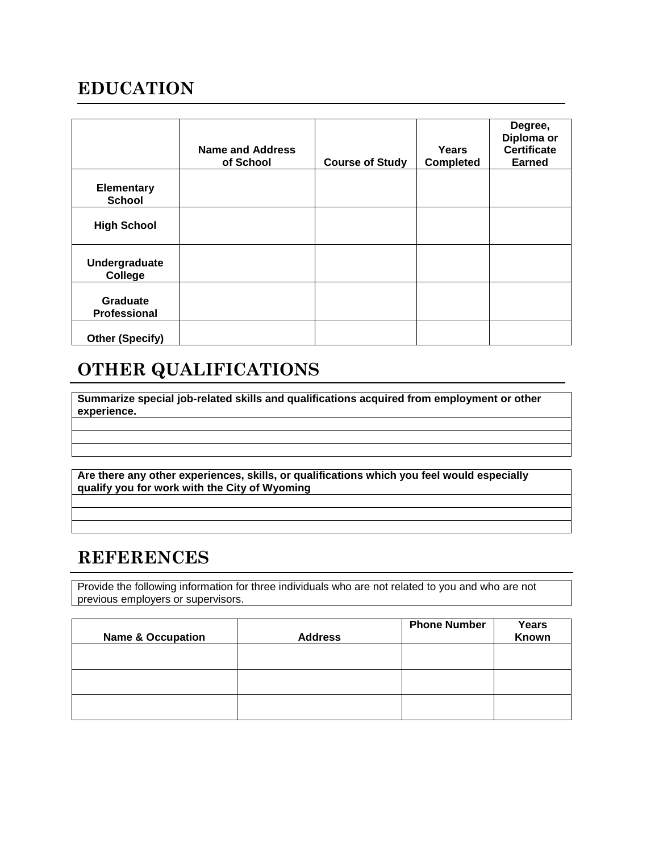## **EDUCATION**

|                                    | <b>Name and Address</b><br>of School | <b>Course of Study</b> | Years<br><b>Completed</b> | Degree,<br>Diploma or<br><b>Certificate</b><br><b>Earned</b> |
|------------------------------------|--------------------------------------|------------------------|---------------------------|--------------------------------------------------------------|
| <b>Elementary</b><br><b>School</b> |                                      |                        |                           |                                                              |
| <b>High School</b>                 |                                      |                        |                           |                                                              |
| Undergraduate<br>College           |                                      |                        |                           |                                                              |
| Graduate<br>Professional           |                                      |                        |                           |                                                              |
| <b>Other (Specify)</b>             |                                      |                        |                           |                                                              |

# **OTHER QUALIFICATIONS**

**Summarize special job-related skills and qualifications acquired from employment or other experience.** 

**Are there any other experiences, skills, or qualifications which you feel would especially qualify you for work with the City of Wyoming**

### **REFERENCES**

Provide the following information for three individuals who are not related to you and who are not previous employers or supervisors.

| <b>Name &amp; Occupation</b> | <b>Address</b> | <b>Phone Number</b> | Years<br>Known |
|------------------------------|----------------|---------------------|----------------|
|                              |                |                     |                |
|                              |                |                     |                |
|                              |                |                     |                |